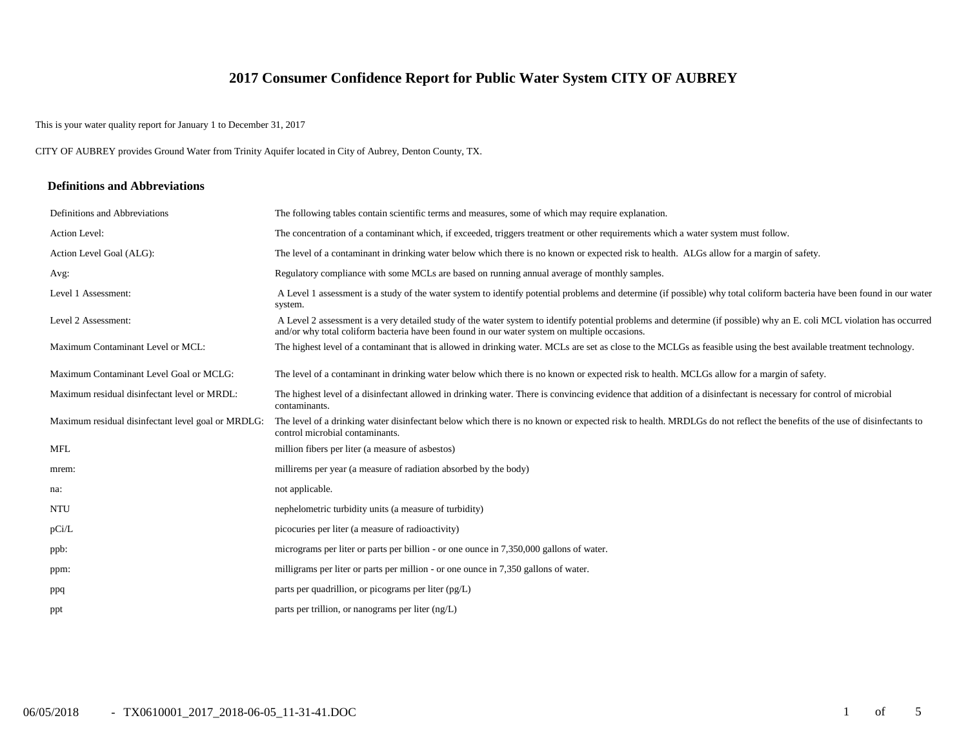# **2017 Consumer Confidence Report for Public Water System CITY OF AUBREY**

This is your water quality report for January 1 to December 31, 2017

CITY OF AUBREY provides Ground Water from Trinity Aquifer located in City of Aubrey, Denton County, TX.

#### **Definitions and Abbreviations**

| Definitions and Abbreviations                      | The following tables contain scientific terms and measures, some of which may require explanation.                                                                                                                                                                      |
|----------------------------------------------------|-------------------------------------------------------------------------------------------------------------------------------------------------------------------------------------------------------------------------------------------------------------------------|
| Action Level:                                      | The concentration of a contaminant which, if exceeded, triggers treatment or other requirements which a water system must follow.                                                                                                                                       |
| Action Level Goal (ALG):                           | The level of a contaminant in drinking water below which there is no known or expected risk to health. ALGs allow for a margin of safety.                                                                                                                               |
| Avg:                                               | Regulatory compliance with some MCLs are based on running annual average of monthly samples.                                                                                                                                                                            |
| Level 1 Assessment:                                | A Level 1 assessment is a study of the water system to identify potential problems and determine (if possible) why total coliform bacteria have been found in our water<br>system.                                                                                      |
| Level 2 Assessment:                                | A Level 2 assessment is a very detailed study of the water system to identify potential problems and determine (if possible) why an E. coli MCL violation has occurred<br>and/or why total coliform bacteria have been found in our water system on multiple occasions. |
| Maximum Contaminant Level or MCL:                  | The highest level of a contaminant that is allowed in drinking water. MCLs are set as close to the MCLGs as feasible using the best available treatment technology.                                                                                                     |
| Maximum Contaminant Level Goal or MCLG:            | The level of a contaminant in drinking water below which there is no known or expected risk to health. MCLGs allow for a margin of safety.                                                                                                                              |
| Maximum residual disinfectant level or MRDL:       | The highest level of a disinfectant allowed in drinking water. There is convincing evidence that addition of a disinfectant is necessary for control of microbial<br>contaminants.                                                                                      |
| Maximum residual disinfectant level goal or MRDLG: | The level of a drinking water disinfectant below which there is no known or expected risk to health. MRDLGs do not reflect the benefits of the use of disinfectants to<br>control microbial contaminants.                                                               |
| <b>MFL</b>                                         | million fibers per liter (a measure of asbestos)                                                                                                                                                                                                                        |
| mrem:                                              | millirems per year (a measure of radiation absorbed by the body)                                                                                                                                                                                                        |
| na:                                                | not applicable.                                                                                                                                                                                                                                                         |
| <b>NTU</b>                                         | nephelometric turbidity units (a measure of turbidity)                                                                                                                                                                                                                  |
| pCi/L                                              | picocuries per liter (a measure of radioactivity)                                                                                                                                                                                                                       |
| ppb:                                               | micrograms per liter or parts per billion - or one ounce in 7,350,000 gallons of water.                                                                                                                                                                                 |
| ppm:                                               | milligrams per liter or parts per million - or one ounce in 7,350 gallons of water.                                                                                                                                                                                     |
| ppq                                                | parts per quadrillion, or picograms per liter $(pg/L)$                                                                                                                                                                                                                  |
| ppt                                                | parts per trillion, or nanograms per liter $(ng/L)$                                                                                                                                                                                                                     |
|                                                    |                                                                                                                                                                                                                                                                         |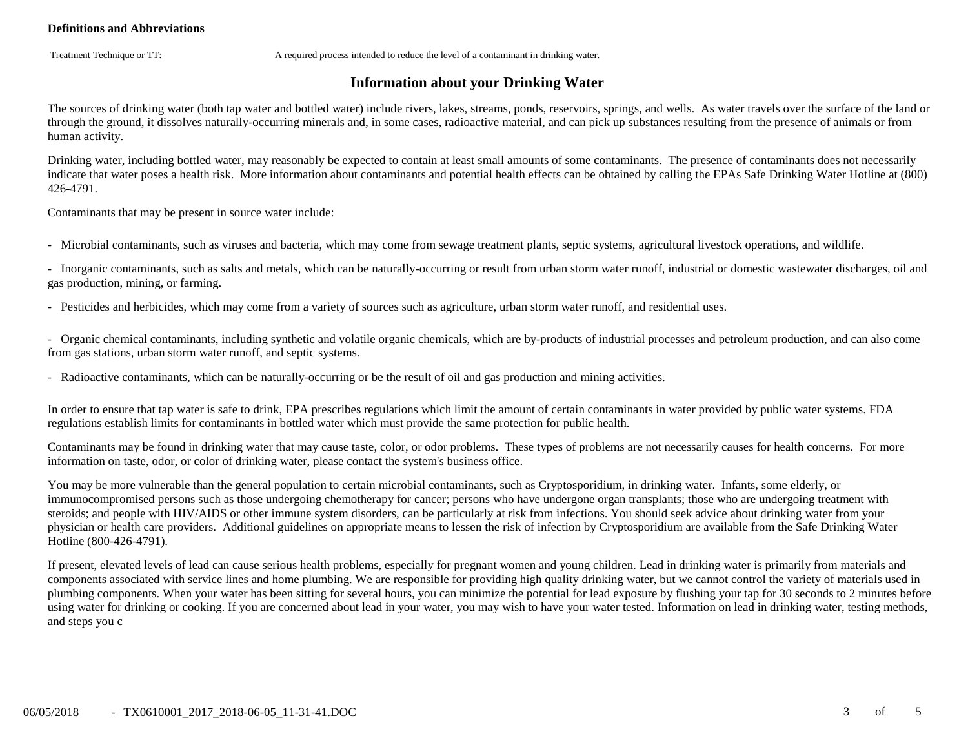### **Definitions and Abbreviations**

Treatment Technique or TT: A required process intended to reduce the level of a contaminant in drinking water.

# **Information about your Drinking Water**

The sources of drinking water (both tap water and bottled water) include rivers, lakes, streams, ponds, reservoirs, springs, and wells. As water travels over the surface of the land or through the ground, it dissolves naturally-occurring minerals and, in some cases, radioactive material, and can pick up substances resulting from the presence of animals or from human activity.

Drinking water, including bottled water, may reasonably be expected to contain at least small amounts of some contaminants. The presence of contaminants does not necessarily indicate that water poses a health risk. More information about contaminants and potential health effects can be obtained by calling the EPAs Safe Drinking Water Hotline at (800) 426-4791.

Contaminants that may be present in source water include:

- Microbial contaminants, such as viruses and bacteria, which may come from sewage treatment plants, septic systems, agricultural livestock operations, and wildlife.

- Inorganic contaminants, such as salts and metals, which can be naturally-occurring or result from urban storm water runoff, industrial or domestic wastewater discharges, oil and gas production, mining, or farming.

- Pesticides and herbicides, which may come from a variety of sources such as agriculture, urban storm water runoff, and residential uses.

- Organic chemical contaminants, including synthetic and volatile organic chemicals, which are by-products of industrial processes and petroleum production, and can also come from gas stations, urban storm water runoff, and septic systems.

- Radioactive contaminants, which can be naturally-occurring or be the result of oil and gas production and mining activities.

In order to ensure that tap water is safe to drink, EPA prescribes regulations which limit the amount of certain contaminants in water provided by public water systems. FDA regulations establish limits for contaminants in bottled water which must provide the same protection for public health.

Contaminants may be found in drinking water that may cause taste, color, or odor problems. These types of problems are not necessarily causes for health concerns. For more information on taste, odor, or color of drinking water, please contact the system's business office.

You may be more vulnerable than the general population to certain microbial contaminants, such as Cryptosporidium, in drinking water. Infants, some elderly, or immunocompromised persons such as those undergoing chemotherapy for cancer; persons who have undergone organ transplants; those who are undergoing treatment with steroids; and people with HIV/AIDS or other immune system disorders, can be particularly at risk from infections. You should seek advice about drinking water from your physician or health care providers. Additional guidelines on appropriate means to lessen the risk of infection by Cryptosporidium are available from the Safe Drinking Water Hotline (800-426-4791).

If present, elevated levels of lead can cause serious health problems, especially for pregnant women and young children. Lead in drinking water is primarily from materials and components associated with service lines and home plumbing. We are responsible for providing high quality drinking water, but we cannot control the variety of materials used in plumbing components. When your water has been sitting for several hours, you can minimize the potential for lead exposure by flushing your tap for 30 seconds to 2 minutes before using water for drinking or cooking. If you are concerned about lead in your water, you may wish to have your water tested. Information on lead in drinking water, testing methods, and steps you c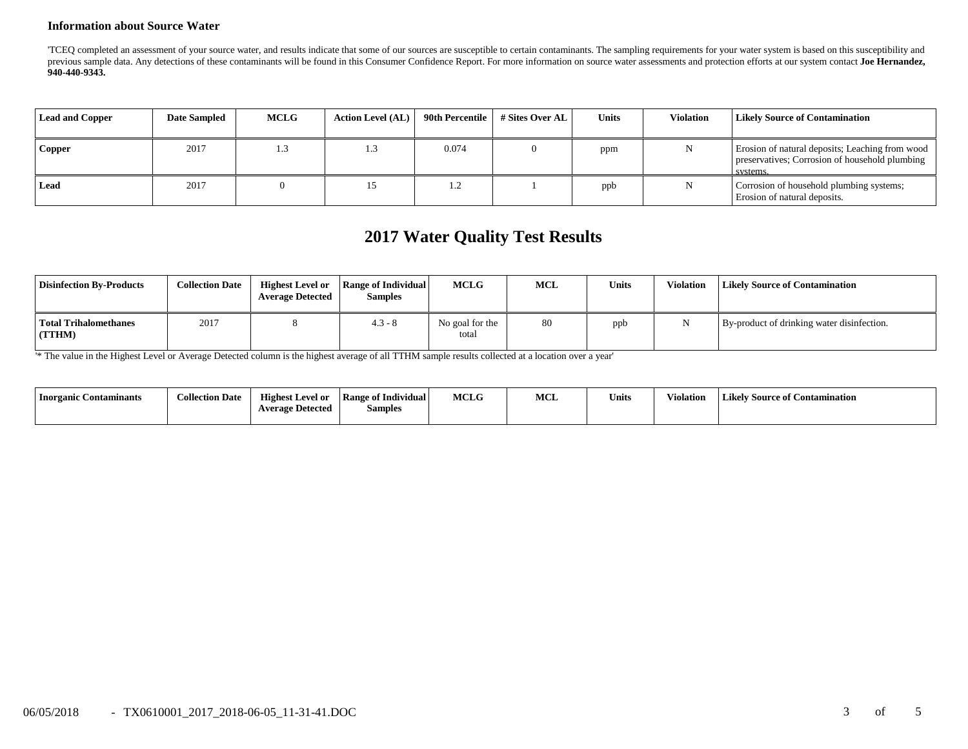#### **Information about Source Water**

'TCEQ completed an assessment of your source water, and results indicate that some of our sources are susceptible to certain contaminants. The sampling requirements for your water system is based on this susceptibility and previous sample data. Any detections of these contaminants will be found in this Consumer Confidence Report. For more information on source water assessments and protection efforts at our system contact Joe Hernandez, **940-440-9343.**

| <b>Lead and Copper</b> | <b>Date Sampled</b> | <b>MCLG</b> | <b>Action Level (AL)</b> | 90th Percentile | # Sites Over AL | Units | Violation | <b>Likely Source of Contamination</b>                                                                         |
|------------------------|---------------------|-------------|--------------------------|-----------------|-----------------|-------|-----------|---------------------------------------------------------------------------------------------------------------|
| <b>Copper</b>          | 2017                | 1.3         |                          | 0.074           |                 | ppm   |           | Erosion of natural deposits; Leaching from wood<br>preservatives; Corrosion of household plumbing<br>systems. |
| Lead                   | 2017                |             |                          | .               |                 | ppb   |           | Corrosion of household plumbing systems;<br>Erosion of natural deposits.                                      |

# **2017 Water Quality Test Results**

| <b>Disinfection By-Products</b> | <b>Collection Date</b> | <b>Highest Level or</b><br><b>Average Detected</b> | Range of Individual<br><b>Samples</b> | <b>MCLG</b>              | <b>MCL</b> | <b>Units</b> | Violation | <b>Likely Source of Contamination</b>      |
|---------------------------------|------------------------|----------------------------------------------------|---------------------------------------|--------------------------|------------|--------------|-----------|--------------------------------------------|
| Total Trihalomethanes<br>(TTHM) | 2017                   |                                                    | $4.3 - 8$                             | No goal for the<br>total | 80         | ppb          |           | By-product of drinking water disinfection. |

'\* The value in the Highest Level or Average Detected column is the highest average of all TTHM sample results collected at a location over a year'

| <b>Inorganic Contaminants</b> | <b>Collection Date</b> | <b>Highest Level or</b> | <b>Range of Individual</b> | <b>MCLG</b> | MCL | <b>Units</b> | Violation | <b>Likely Source of Contamination</b> |
|-------------------------------|------------------------|-------------------------|----------------------------|-------------|-----|--------------|-----------|---------------------------------------|
|                               |                        | <b>Average Detected</b> | <b>Samples</b>             |             |     |              |           |                                       |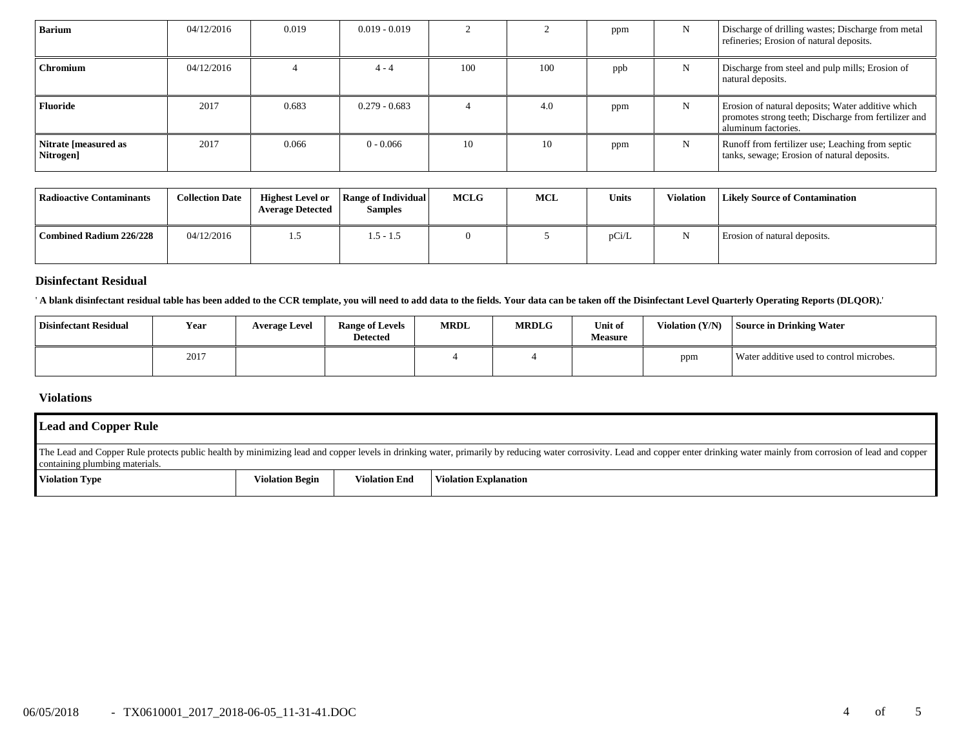| <b>Barium</b>                     | 04/12/2016 | 0.019 | $0.019 - 0.019$ |     |     | ppm | $\mathbf N$ | Discharge of drilling wastes; Discharge from metal<br>refineries; Erosion of natural deposits.                                   |
|-----------------------------------|------------|-------|-----------------|-----|-----|-----|-------------|----------------------------------------------------------------------------------------------------------------------------------|
| <b>Chromium</b>                   | 04/12/2016 |       | $4 - 4$         | 100 | 100 | ppb | N           | Discharge from steel and pulp mills; Erosion of<br>natural deposits.                                                             |
| Fluoride                          | 2017       | 0.683 | $0.279 - 0.683$ |     | 4.0 | ppm | N           | Erosion of natural deposits; Water additive which<br>promotes strong teeth; Discharge from fertilizer and<br>aluminum factories. |
| Nitrate [measured as<br>Nitrogen] | 2017       | 0.066 | $0 - 0.066$     | 10  | 10  | ppm | N           | Runoff from fertilizer use; Leaching from septic<br>tanks, sewage; Erosion of natural deposits.                                  |

| Radioactive Contaminants | <b>Collection Date</b> | <b>Highest Level or</b><br><b>Average Detected</b> | <b>Range of Individual</b><br><b>Samples</b> | <b>MCLG</b> | MCL | <b>Units</b> | <b>Violation</b> | <b>Likely Source of Contamination</b> |
|--------------------------|------------------------|----------------------------------------------------|----------------------------------------------|-------------|-----|--------------|------------------|---------------------------------------|
| Combined Radium 226/228  | 04/12/2016             | .                                                  | $1.5 - 1.5$                                  |             |     | pCi/L        |                  | Erosion of natural deposits.          |

#### **Disinfectant Residual**

' **A blank disinfectant residual table has been added to the CCR template, you will need to add data to the fields. Your data can be taken off the Disinfectant Level Quarterly Operating Reports (DLQOR).**'

| <b>Disinfectant Residual</b> | Year | <b>Average Level</b> | <b>Range of Levels</b><br><b>Detected</b> | <b>MRDL</b> | <b>MRDLG</b> | Unit of<br><b>Measure</b> | Violation $(Y/N)$ | Source in Drinking Water                 |
|------------------------------|------|----------------------|-------------------------------------------|-------------|--------------|---------------------------|-------------------|------------------------------------------|
|                              | 2017 |                      |                                           |             |              |                           | ppm               | Water additive used to control microbes. |

# **Violations**

| <b>Lead and Copper Rule</b>                                                                                                                                                                                                                                      |                        |                      |                       |  |  |  |
|------------------------------------------------------------------------------------------------------------------------------------------------------------------------------------------------------------------------------------------------------------------|------------------------|----------------------|-----------------------|--|--|--|
| The Lead and Copper Rule protects public health by minimizing lead and copper levels in drinking water, primarily by reducing water corrosivity. Lead and copper enter drinking water mainly from corrosion of lead and copper<br>containing plumbing materials. |                        |                      |                       |  |  |  |
| Violation Type                                                                                                                                                                                                                                                   | <b>Violation Begin</b> | <b>Violation End</b> | Violation Explanation |  |  |  |